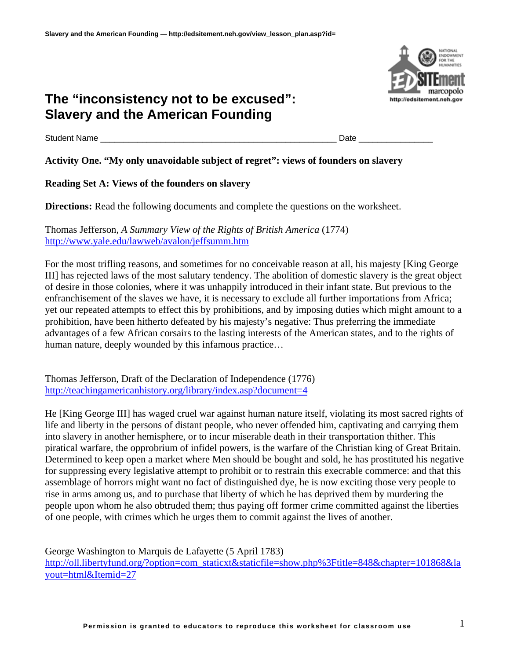Student Name \_\_\_\_\_\_\_\_\_\_\_\_\_\_\_\_\_\_\_\_\_\_\_\_\_\_\_\_\_\_\_\_\_\_\_\_\_\_\_\_\_\_\_\_\_\_\_\_\_\_\_ Date \_\_\_\_\_\_\_\_\_\_\_\_\_\_\_\_

### **Activity One. "My only unavoidable subject of regret": views of founders on slavery**

**Reading Set A: Views of the founders on slavery** 

**Directions:** Read the following documents and complete the questions on the worksheet.

Thomas Jefferson, *A Summary View of the Rights of British America* (1774) <http://www.yale.edu/lawweb/avalon/jeffsumm.htm>

For the most trifling reasons, and sometimes for no conceivable reason at all, his majesty [King George III] has rejected laws of the most salutary tendency. The abolition of domestic slavery is the great object of desire in those colonies, where it was unhappily introduced in their infant state. But previous to the enfranchisement of the slaves we have, it is necessary to exclude all further importations from Africa; yet our repeated attempts to effect this by prohibitions, and by imposing duties which might amount to a prohibition, have been hitherto defeated by his majesty's negative: Thus preferring the immediate advantages of a few African corsairs to the lasting interests of the American states, and to the rights of human nature, deeply wounded by this infamous practice…

Thomas Jefferson, Draft of the Declaration of Independence (1776) <http://teachingamericanhistory.org/library/index.asp?document=4>

He [King George III] has waged cruel war against human nature itself, violating its most sacred rights of life and liberty in the persons of distant people, who never offended him, captivating and carrying them into slavery in another hemisphere, or to incur miserable death in their transportation thither. This piratical warfare, the opprobrium of infidel powers, is the warfare of the Christian king of Great Britain. Determined to keep open a market where Men should be bought and sold, he has prostituted his negative for suppressing every legislative attempt to prohibit or to restrain this execrable commerce: and that this assemblage of horrors might want no fact of distinguished dye, he is now exciting those very people to rise in arms among us, and to purchase that liberty of which he has deprived them by murdering the people upon whom he also obtruded them; thus paying off former crime committed against the liberties of one people, with crimes which he urges them to commit against the lives of another.

George Washington to Marquis de Lafayette (5 April 1783)

[http://oll.libertyfund.org/?option=com\\_staticxt&staticfile=show.php%3Ftitle=848&chapter=101868&la](http://oll.libertyfund.org/?option=com_staticxt&staticfile=show.php%3Ftitle=848&chapter=101868&layout=html&Itemid=27) [yout=html&Itemid=27](http://oll.libertyfund.org/?option=com_staticxt&staticfile=show.php%3Ftitle=848&chapter=101868&layout=html&Itemid=27)

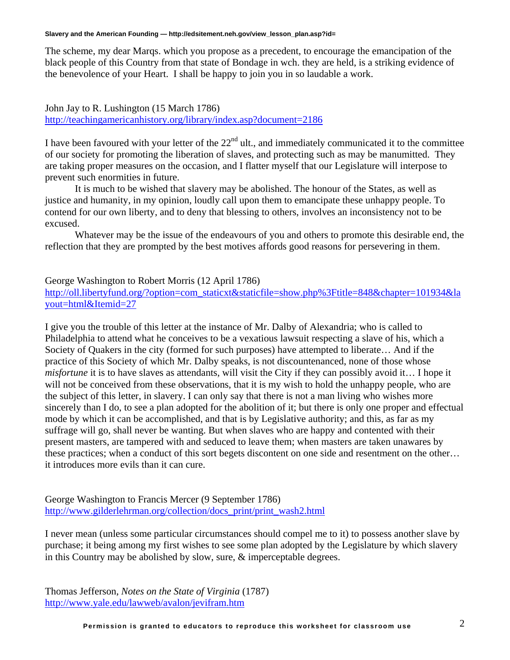The scheme, my dear Marqs. which you propose as a precedent, to encourage the emancipation of the black people of this Country from that state of Bondage in wch. they are held, is a striking evidence of the benevolence of your Heart. I shall be happy to join you in so laudable a work.

John Jay to R. Lushington (15 March 1786) <http://teachingamericanhistory.org/library/index.asp?document=2186>

I have been favoured with your letter of the  $22<sup>nd</sup>$  ult., and immediately communicated it to the committee of our society for promoting the liberation of slaves, and protecting such as may be manumitted. They are taking proper measures on the occasion, and I flatter myself that our Legislature will interpose to prevent such enormities in future.

It is much to be wished that slavery may be abolished. The honour of the States, as well as justice and humanity, in my opinion, loudly call upon them to emancipate these unhappy people. To contend for our own liberty, and to deny that blessing to others, involves an inconsistency not to be excused.

Whatever may be the issue of the endeavours of you and others to promote this desirable end, the reflection that they are prompted by the best motives affords good reasons for persevering in them.

George Washington to Robert Morris (12 April 1786) [http://oll.libertyfund.org/?option=com\\_staticxt&staticfile=show.php%3Ftitle=848&chapter=101934&la](http://oll.libertyfund.org/?option=com_staticxt&staticfile=show.php%3Ftitle=848&chapter=101934&layout=html&Itemid=27) [yout=html&Itemid=27](http://oll.libertyfund.org/?option=com_staticxt&staticfile=show.php%3Ftitle=848&chapter=101934&layout=html&Itemid=27)

I give you the trouble of this letter at the instance of Mr. Dalby of Alexandria; who is called to Philadelphia to attend what he conceives to be a vexatious lawsuit respecting a slave of his, which a Society of Quakers in the city (formed for such purposes) have attempted to liberate… And if the practice of this Society of which Mr. Dalby speaks, is not discountenanced, none of those whose *misfortune* it is to have slaves as attendants, will visit the City if they can possibly avoid it… I hope it will not be conceived from these observations, that it is my wish to hold the unhappy people, who are the subject of this letter, in slavery. I can only say that there is not a man living who wishes more sincerely than I do, to see a plan adopted for the abolition of it; but there is only one proper and effectual mode by which it can be accomplished, and that is by Legislative authority; and this, as far as my suffrage will go, shall never be wanting. But when slaves who are happy and contented with their present masters, are tampered with and seduced to leave them; when masters are taken unawares by these practices; when a conduct of this sort begets discontent on one side and resentment on the other… it introduces more evils than it can cure.

George Washington to Francis Mercer (9 September 1786) [http://www.gilderlehrman.org/collection/docs\\_print/print\\_wash2.html](http://www.gilderlehrman.org/collection/docs_print/print_wash2.html)

I never mean (unless some particular circumstances should compel me to it) to possess another slave by purchase; it being among my first wishes to see some plan adopted by the Legislature by which slavery in this Country may be abolished by slow, sure, & imperceptable degrees.

Thomas Jefferson, *Notes on the State of Virginia* (1787) <http://www.yale.edu/lawweb/avalon/jevifram.htm>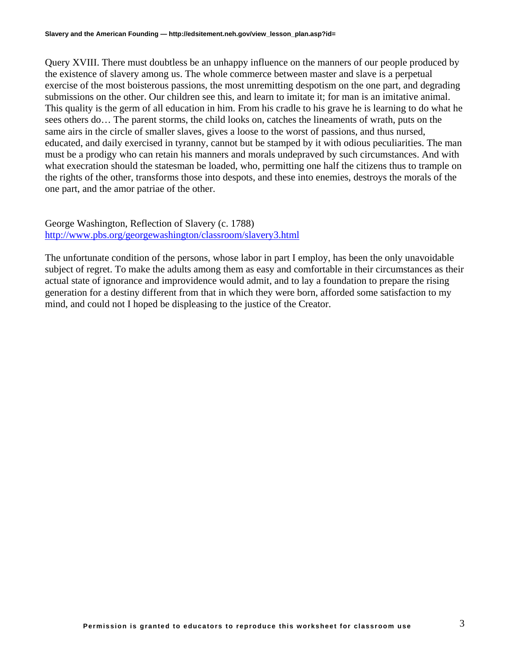Query XVIII. There must doubtless be an unhappy influence on the manners of our people produced by the existence of slavery among us. The whole commerce between master and slave is a perpetual exercise of the most boisterous passions, the most unremitting despotism on the one part, and degrading submissions on the other. Our children see this, and learn to imitate it; for man is an imitative animal. This quality is the germ of all education in him. From his cradle to his grave he is learning to do what he sees others do… The parent storms, the child looks on, catches the lineaments of wrath, puts on the same airs in the circle of smaller slaves, gives a loose to the worst of passions, and thus nursed, educated, and daily exercised in tyranny, cannot but be stamped by it with odious peculiarities. The man must be a prodigy who can retain his manners and morals undepraved by such circumstances. And with what execration should the statesman be loaded, who, permitting one half the citizens thus to trample on the rights of the other, transforms those into despots, and these into enemies, destroys the morals of the one part, and the amor patriae of the other.

George Washington, Reflection of Slavery (c. 1788) <http://www.pbs.org/georgewashington/classroom/slavery3.html>

The unfortunate condition of the persons, whose labor in part I employ, has been the only unavoidable subject of regret. To make the adults among them as easy and comfortable in their circumstances as their actual state of ignorance and improvidence would admit, and to lay a foundation to prepare the rising generation for a destiny different from that in which they were born, afforded some satisfaction to my mind, and could not I hoped be displeasing to the justice of the Creator.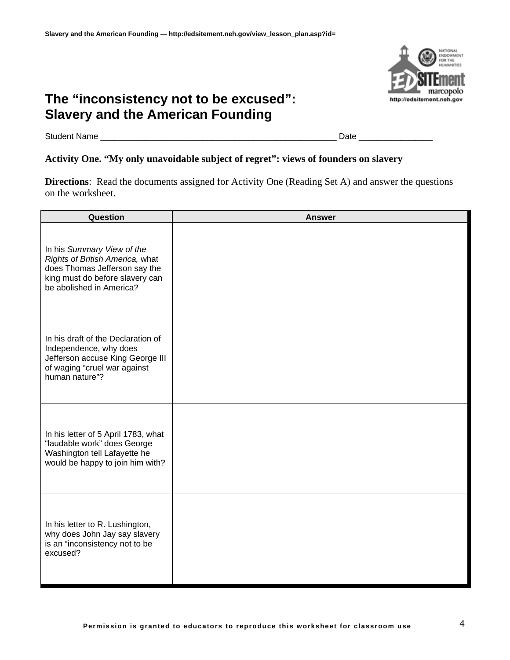

Student Name \_\_\_\_\_\_\_\_\_\_\_\_\_\_\_\_\_\_\_\_\_\_\_\_\_\_\_\_\_\_\_\_\_\_\_\_\_\_\_\_\_\_\_\_\_\_\_\_\_\_\_ Date \_\_\_\_\_\_\_\_\_\_\_\_\_\_\_\_

## **Activity One. "My only unavoidable subject of regret": views of founders on slavery**

**Directions**: Read the documents assigned for Activity One (Reading Set A) and answer the questions on the worksheet.

| Question                                                                                                                                                      | <b>Answer</b> |
|---------------------------------------------------------------------------------------------------------------------------------------------------------------|---------------|
| In his Summary View of the<br>Rights of British America, what<br>does Thomas Jefferson say the<br>king must do before slavery can<br>be abolished in America? |               |
| In his draft of the Declaration of<br>Independence, why does<br>Jefferson accuse King George III<br>of waging "cruel war against<br>human nature"?            |               |
| In his letter of 5 April 1783, what<br>"laudable work" does George<br>Washington tell Lafayette he<br>would be happy to join him with?                        |               |
| In his letter to R. Lushington,<br>why does John Jay say slavery<br>is an "inconsistency not to be<br>excused?                                                |               |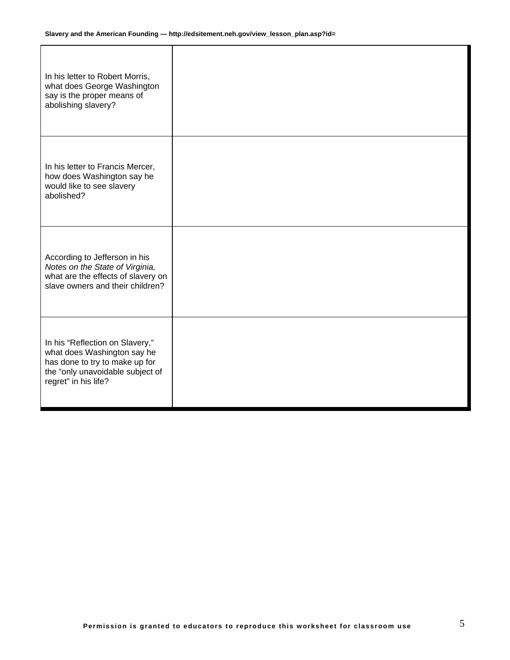| In his letter to Robert Morris,<br>what does George Washington<br>say is the proper means of<br>abolishing slavery?                                          |  |
|--------------------------------------------------------------------------------------------------------------------------------------------------------------|--|
| In his letter to Francis Mercer,<br>how does Washington say he<br>would like to see slavery<br>abolished?                                                    |  |
| According to Jefferson in his<br>Notes on the State of Virginia,<br>what are the effects of slavery on<br>slave owners and their children?                   |  |
| In his "Reflection on Slavery,"<br>what does Washington say he<br>has done to try to make up for<br>the "only unavoidable subject of<br>regret" in his life? |  |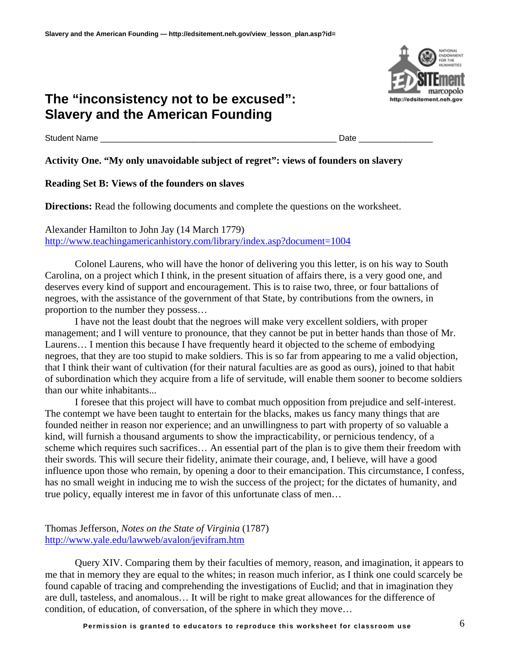Student Name \_\_\_\_\_\_\_\_\_\_\_\_\_\_\_\_\_\_\_\_\_\_\_\_\_\_\_\_\_\_\_\_\_\_\_\_\_\_\_\_\_\_\_\_\_\_\_\_\_\_\_ Date \_\_\_\_\_\_\_\_\_\_\_\_\_\_\_\_

### **Activity One. "My only unavoidable subject of regret": views of founders on slavery**

### **Reading Set B: Views of the founders on slaves**

**Directions:** Read the following documents and complete the questions on the worksheet.

Alexander Hamilton to John Jay (14 March 1779) <http://www.teachingamericanhistory.com/library/index.asp?document=1004>

Colonel Laurens, who will have the honor of delivering you this letter, is on his way to South Carolina, on a project which I think, in the present situation of affairs there, is a very good one, and deserves every kind of support and encouragement. This is to raise two, three, or four battalions of negroes, with the assistance of the government of that State, by contributions from the owners, in proportion to the number they possess…

I have not the least doubt that the negroes will make very excellent soldiers, with proper management; and I will venture to pronounce, that they cannot be put in better hands than those of Mr. Laurens… I mention this because I have frequently heard it objected to the scheme of embodying negroes, that they are too stupid to make soldiers. This is so far from appearing to me a valid objection, that I think their want of cultivation (for their natural faculties are as good as ours), joined to that habit of subordination which they acquire from a life of servitude, will enable them sooner to become soldiers than our white inhabitants...

I foresee that this project will have to combat much opposition from prejudice and self-interest. The contempt we have been taught to entertain for the blacks, makes us fancy many things that are founded neither in reason nor experience; and an unwillingness to part with property of so valuable a kind, will furnish a thousand arguments to show the impracticability, or pernicious tendency, of a scheme which requires such sacrifices… An essential part of the plan is to give them their freedom with their swords. This will secure their fidelity, animate their courage, and, I believe, will have a good influence upon those who remain, by opening a door to their emancipation. This circumstance, I confess, has no small weight in inducing me to wish the success of the project; for the dictates of humanity, and true policy, equally interest me in favor of this unfortunate class of men…

Thomas Jefferson, *Notes on the State of Virginia* (1787) <http://www.yale.edu/lawweb/avalon/jevifram.htm>

Query XIV. Comparing them by their faculties of memory, reason, and imagination, it appears to me that in memory they are equal to the whites; in reason much inferior, as I think one could scarcely be found capable of tracing and comprehending the investigations of Euclid; and that in imagination they are dull, tasteless, and anomalous… It will be right to make great allowances for the difference of condition, of education, of conversation, of the sphere in which they move…

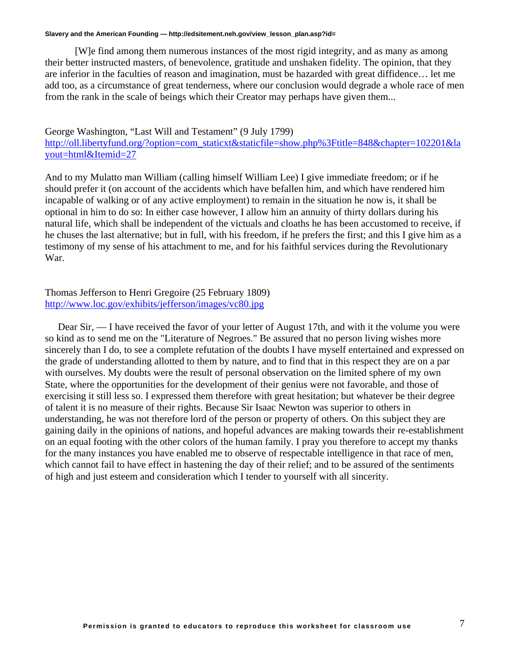[W]e find among them numerous instances of the most rigid integrity, and as many as among their better instructed masters, of benevolence, gratitude and unshaken fidelity. The opinion, that they are inferior in the faculties of reason and imagination, must be hazarded with great diffidence… let me add too, as a circumstance of great tenderness, where our conclusion would degrade a whole race of men from the rank in the scale of beings which their Creator may perhaps have given them...

#### George Washington, "Last Will and Testament" (9 July 1799) [http://oll.libertyfund.org/?option=com\\_staticxt&staticfile=show.php%3Ftitle=848&chapter=102201&la](http://oll.libertyfund.org/?option=com_staticxt&staticfile=show.php%3Ftitle=848&chapter=102201&layout=html&Itemid=27) [yout=html&Itemid=27](http://oll.libertyfund.org/?option=com_staticxt&staticfile=show.php%3Ftitle=848&chapter=102201&layout=html&Itemid=27)

And to my Mulatto man William (calling himself William Lee) I give immediate freedom; or if he should prefer it (on account of the accidents which have befallen him, and which have rendered him incapable of walking or of any active employment) to remain in the situation he now is, it shall be optional in him to do so: In either case however, I allow him an annuity of thirty dollars during his natural life, which shall be independent of the victuals and cloaths he has been accustomed to receive, if he chuses the last alternative; but in full, with his freedom, if he prefers the first; and this I give him as a testimony of my sense of his attachment to me, and for his faithful services during the Revolutionary War.

#### Thomas Jefferson to Henri Gregoire (25 February 1809) <http://www.loc.gov/exhibits/jefferson/images/vc80.jpg>

Dear Sir, — I have received the favor of your letter of August 17th, and with it the volume you were so kind as to send me on the "Literature of Negroes." Be assured that no person living wishes more sincerely than I do, to see a complete refutation of the doubts I have myself entertained and expressed on the grade of understanding allotted to them by nature, and to find that in this respect they are on a par with ourselves. My doubts were the result of personal observation on the limited sphere of my own State, where the opportunities for the development of their genius were not favorable, and those of exercising it still less so. I expressed them therefore with great hesitation; but whatever be their degree of talent it is no measure of their rights. Because Sir Isaac Newton was superior to others in understanding, he was not therefore lord of the person or property of others. On this subject they are gaining daily in the opinions of nations, and hopeful advances are making towards their re-establishment on an equal footing with the other colors of the human family. I pray you therefore to accept my thanks for the many instances you have enabled me to observe of respectable intelligence in that race of men, which cannot fail to have effect in hastening the day of their relief; and to be assured of the sentiments of high and just esteem and consideration which I tender to yourself with all sincerity.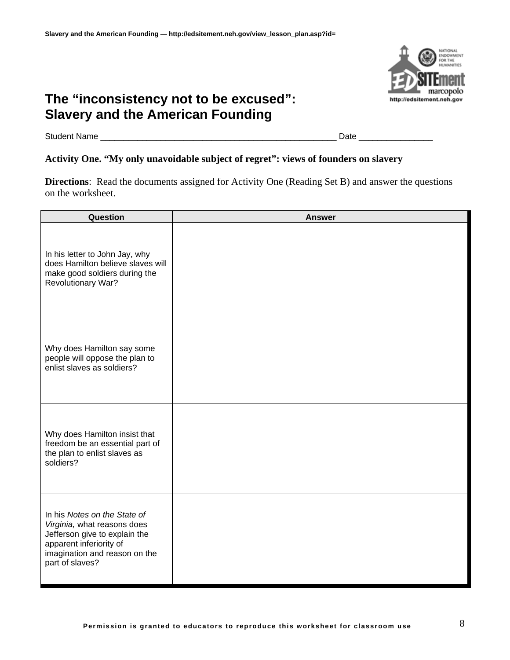

Student Name \_\_\_\_\_\_\_\_\_\_\_\_\_\_\_\_\_\_\_\_\_\_\_\_\_\_\_\_\_\_\_\_\_\_\_\_\_\_\_\_\_\_\_\_\_\_\_\_\_\_\_ Date \_\_\_\_\_\_\_\_\_\_\_\_\_\_\_\_

## **Activity One. "My only unavoidable subject of regret": views of founders on slavery**

**Directions**: Read the documents assigned for Activity One (Reading Set B) and answer the questions on the worksheet.

| Question                                                                                                                                                                    | <b>Answer</b> |
|-----------------------------------------------------------------------------------------------------------------------------------------------------------------------------|---------------|
| In his letter to John Jay, why<br>does Hamilton believe slaves will<br>make good soldiers during the<br>Revolutionary War?                                                  |               |
| Why does Hamilton say some<br>people will oppose the plan to<br>enlist slaves as soldiers?                                                                                  |               |
| Why does Hamilton insist that<br>freedom be an essential part of<br>the plan to enlist slaves as<br>soldiers?                                                               |               |
| In his Notes on the State of<br>Virginia, what reasons does<br>Jefferson give to explain the<br>apparent inferiority of<br>imagination and reason on the<br>part of slaves? |               |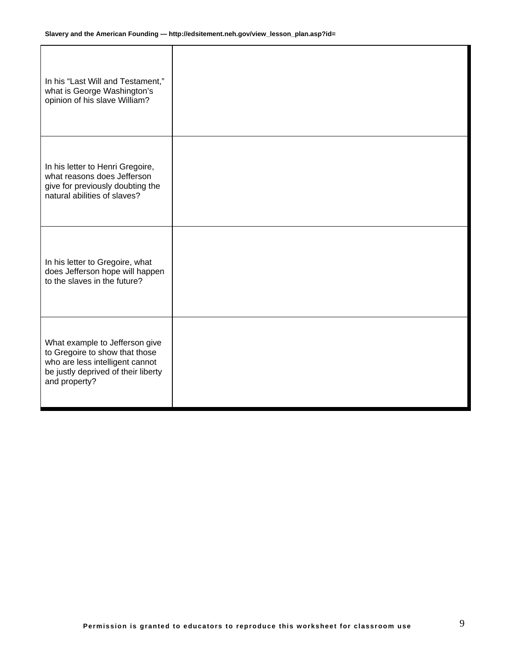| In his "Last Will and Testament,"<br>what is George Washington's<br>opinion of his slave William?                                                           |  |
|-------------------------------------------------------------------------------------------------------------------------------------------------------------|--|
| In his letter to Henri Gregoire,<br>what reasons does Jefferson<br>give for previously doubting the<br>natural abilities of slaves?                         |  |
| In his letter to Gregoire, what<br>does Jefferson hope will happen<br>to the slaves in the future?                                                          |  |
| What example to Jefferson give<br>to Gregoire to show that those<br>who are less intelligent cannot<br>be justly deprived of their liberty<br>and property? |  |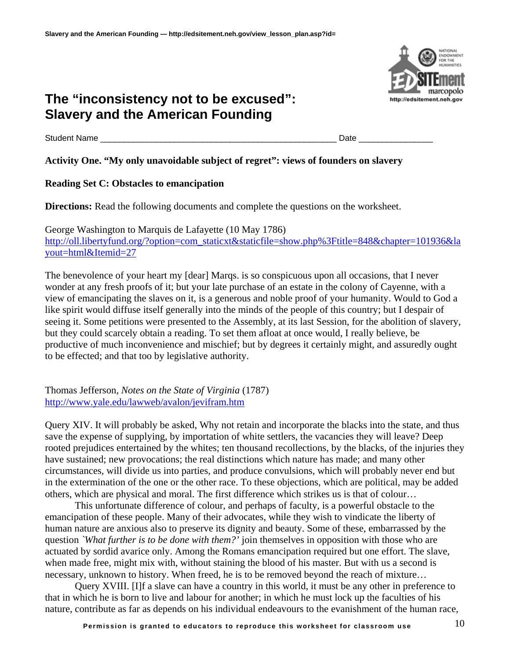Student Name \_\_\_\_\_\_\_\_\_\_\_\_\_\_\_\_\_\_\_\_\_\_\_\_\_\_\_\_\_\_\_\_\_\_\_\_\_\_\_\_\_\_\_\_\_\_\_\_\_\_\_ Date \_\_\_\_\_\_\_\_\_\_\_\_\_\_\_\_

### **Activity One. "My only unavoidable subject of regret": views of founders on slavery**

### **Reading Set C: Obstacles to emancipation**

**Directions:** Read the following documents and complete the questions on the worksheet.

George Washington to Marquis de Lafayette (10 May 1786) [http://oll.libertyfund.org/?option=com\\_staticxt&staticfile=show.php%3Ftitle=848&chapter=101936&la](http://oll.libertyfund.org/?option=com_staticxt&staticfile=show.php%3Ftitle=848&chapter=101936&layout=html&Itemid=27) [yout=html&Itemid=27](http://oll.libertyfund.org/?option=com_staticxt&staticfile=show.php%3Ftitle=848&chapter=101936&layout=html&Itemid=27)

The benevolence of your heart my [dear] Marqs. is so conspicuous upon all occasions, that I never wonder at any fresh proofs of it; but your late purchase of an estate in the colony of Cayenne, with a view of emancipating the slaves on it, is a generous and noble proof of your humanity. Would to God a like spirit would diffuse itself generally into the minds of the people of this country; but I despair of seeing it. Some petitions were presented to the Assembly, at its last Session, for the abolition of slavery, but they could scarcely obtain a reading. To set them afloat at once would, I really believe, be productive of much inconvenience and mischief; but by degrees it certainly might, and assuredly ought to be effected; and that too by legislative authority.

Thomas Jefferson, *Notes on the State of Virginia* (1787) <http://www.yale.edu/lawweb/avalon/jevifram.htm>

Query XIV. It will probably be asked, Why not retain and incorporate the blacks into the state, and thus save the expense of supplying, by importation of white settlers, the vacancies they will leave? Deep rooted prejudices entertained by the whites; ten thousand recollections, by the blacks, of the injuries they have sustained; new provocations; the real distinctions which nature has made; and many other circumstances, will divide us into parties, and produce convulsions, which will probably never end but in the extermination of the one or the other race. To these objections, which are political, may be added others, which are physical and moral. The first difference which strikes us is that of colour…

This unfortunate difference of colour, and perhaps of faculty, is a powerful obstacle to the emancipation of these people. Many of their advocates, while they wish to vindicate the liberty of human nature are anxious also to preserve its dignity and beauty. Some of these, embarrassed by the question *`What further is to be done with them?'* join themselves in opposition with those who are actuated by sordid avarice only. Among the Romans emancipation required but one effort. The slave, when made free, might mix with, without staining the blood of his master. But with us a second is necessary, unknown to history. When freed, he is to be removed beyond the reach of mixture…

Query XVIII. [I]f a slave can have a country in this world, it must be any other in preference to that in which he is born to live and labour for another; in which he must lock up the faculties of his nature, contribute as far as depends on his individual endeavours to the evanishment of the human race,

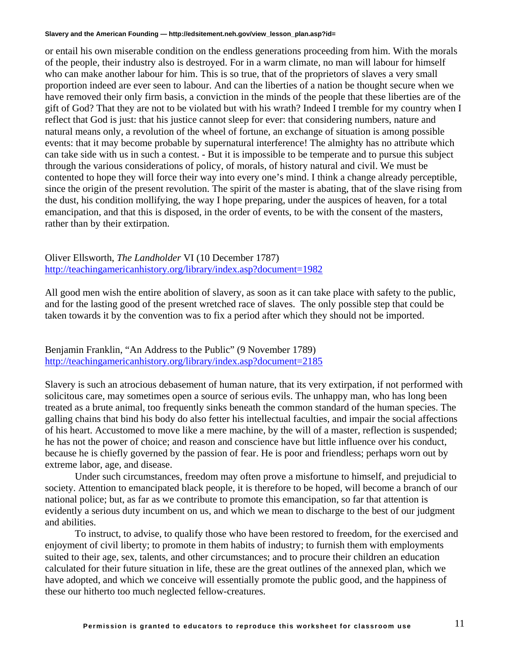or entail his own miserable condition on the endless generations proceeding from him. With the morals of the people, their industry also is destroyed. For in a warm climate, no man will labour for himself who can make another labour for him. This is so true, that of the proprietors of slaves a very small proportion indeed are ever seen to labour. And can the liberties of a nation be thought secure when we have removed their only firm basis, a conviction in the minds of the people that these liberties are of the gift of God? That they are not to be violated but with his wrath? Indeed I tremble for my country when I reflect that God is just: that his justice cannot sleep for ever: that considering numbers, nature and natural means only, a revolution of the wheel of fortune, an exchange of situation is among possible events: that it may become probable by supernatural interference! The almighty has no attribute which can take side with us in such a contest. - But it is impossible to be temperate and to pursue this subject through the various considerations of policy, of morals, of history natural and civil. We must be contented to hope they will force their way into every one's mind. I think a change already perceptible, since the origin of the present revolution. The spirit of the master is abating, that of the slave rising from the dust, his condition mollifying, the way I hope preparing, under the auspices of heaven, for a total emancipation, and that this is disposed, in the order of events, to be with the consent of the masters, rather than by their extirpation.

Oliver Ellsworth, *The Landholder* VI (10 December 1787) <http://teachingamericanhistory.org/library/index.asp?document=1982>

All good men wish the entire abolition of slavery, as soon as it can take place with safety to the public, and for the lasting good of the present wretched race of slaves. The only possible step that could be taken towards it by the convention was to fix a period after which they should not be imported.

Benjamin Franklin, "An Address to the Public" (9 November 1789) <http://teachingamericanhistory.org/library/index.asp?document=2185>

Slavery is such an atrocious debasement of human nature, that its very extirpation, if not performed with solicitous care, may sometimes open a source of serious evils. The unhappy man, who has long been treated as a brute animal, too frequently sinks beneath the common standard of the human species. The galling chains that bind his body do also fetter his intellectual faculties, and impair the social affections of his heart. Accustomed to move like a mere machine, by the will of a master, reflection is suspended; he has not the power of choice; and reason and conscience have but little influence over his conduct, because he is chiefly governed by the passion of fear. He is poor and friendless; perhaps worn out by extreme labor, age, and disease.

Under such circumstances, freedom may often prove a misfortune to himself, and prejudicial to society. Attention to emancipated black people, it is therefore to be hoped, will become a branch of our national police; but, as far as we contribute to promote this emancipation, so far that attention is evidently a serious duty incumbent on us, and which we mean to discharge to the best of our judgment and abilities.

To instruct, to advise, to qualify those who have been restored to freedom, for the exercised and enjoyment of civil liberty; to promote in them habits of industry; to furnish them with employments suited to their age, sex, talents, and other circumstances; and to procure their children an education calculated for their future situation in life, these are the great outlines of the annexed plan, which we have adopted, and which we conceive will essentially promote the public good, and the happiness of these our hitherto too much neglected fellow-creatures.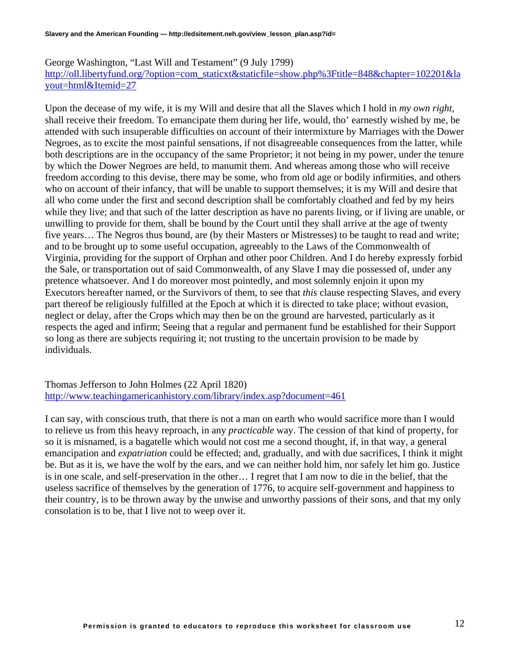George Washington, "Last Will and Testament" (9 July 1799) [http://oll.libertyfund.org/?option=com\\_staticxt&staticfile=show.php%3Ftitle=848&chapter=102201&la](http://oll.libertyfund.org/?option=com_staticxt&staticfile=show.php%3Ftitle=848&chapter=102201&layout=html&Itemid=27) [yout=html&Itemid=27](http://oll.libertyfund.org/?option=com_staticxt&staticfile=show.php%3Ftitle=848&chapter=102201&layout=html&Itemid=27)

Upon the decease of my wife, it is my Will and desire that all the Slaves which I hold in *my own right*, shall receive their freedom. To emancipate them during her life, would, tho' earnestly wished by me, be attended with such insuperable difficulties on account of their intermixture by Marriages with the Dower Negroes, as to excite the most painful sensations, if not disagreeable consequences from the latter, while both descriptions are in the occupancy of the same Proprietor; it not being in my power, under the tenure by which the Dower Negroes are held, to manumit them. And whereas among those who will receive freedom according to this devise, there may be some, who from old age or bodily infirmities, and others who on account of their infancy, that will be unable to support themselves; it is my Will and desire that all who come under the first and second description shall be comfortably cloathed and fed by my heirs while they live; and that such of the latter description as have no parents living, or if living are unable, or unwilling to provide for them, shall be bound by the Court until they shall arrive at the age of twenty five years… The Negros thus bound, are (by their Masters or Mistresses) to be taught to read and write; and to be brought up to some useful occupation, agreeably to the Laws of the Commonwealth of Virginia, providing for the support of Orphan and other poor Children. And I do hereby expressly forbid the Sale, or transportation out of said Commonwealth, of any Slave I may die possessed of, under any pretence whatsoever. And I do moreover most pointedly, and most solemnly enjoin it upon my Executors hereafter named, or the Survivors of them, to see that *this* clause respecting Slaves, and every part thereof be religiously fulfilled at the Epoch at which it is directed to take place; without evasion, neglect or delay, after the Crops which may then be on the ground are harvested, particularly as it respects the aged and infirm; Seeing that a regular and permanent fund be established for their Support so long as there are subjects requiring it; not trusting to the uncertain provision to be made by individuals.

Thomas Jefferson to John Holmes (22 April 1820) <http://www.teachingamericanhistory.com/library/index.asp?document=461>

I can say, with conscious truth, that there is not a man on earth who would sacrifice more than I would to relieve us from this heavy reproach, in any *practicable* way. The cession of that kind of property, for so it is misnamed, is a bagatelle which would not cost me a second thought, if, in that way, a general emancipation and *expatriation* could be effected; and, gradually, and with due sacrifices, I think it might be. But as it is, we have the wolf by the ears, and we can neither hold him, nor safely let him go. Justice is in one scale, and self-preservation in the other… I regret that I am now to die in the belief, that the useless sacrifice of themselves by the generation of 1776, to acquire self-government and happiness to their country, is to be thrown away by the unwise and unworthy passions of their sons, and that my only consolation is to be, that I live not to weep over it.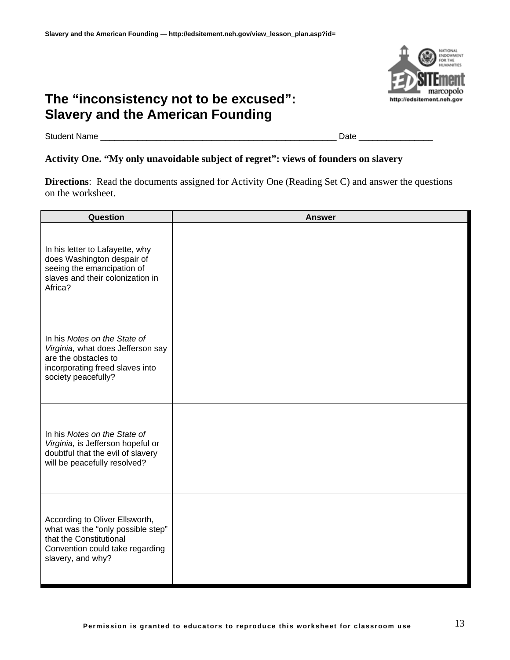

Student Name \_\_\_\_\_\_\_\_\_\_\_\_\_\_\_\_\_\_\_\_\_\_\_\_\_\_\_\_\_\_\_\_\_\_\_\_\_\_\_\_\_\_\_\_\_\_\_\_\_\_\_ Date \_\_\_\_\_\_\_\_\_\_\_\_\_\_\_\_

#### **Activity One. "My only unavoidable subject of regret": views of founders on slavery**

**Directions**: Read the documents assigned for Activity One (Reading Set C) and answer the questions on the worksheet.

| Question                                                                                                                                               | <b>Answer</b> |
|--------------------------------------------------------------------------------------------------------------------------------------------------------|---------------|
| In his letter to Lafayette, why<br>does Washington despair of<br>seeing the emancipation of<br>slaves and their colonization in<br>Africa?             |               |
| In his Notes on the State of<br>Virginia, what does Jefferson say<br>are the obstacles to<br>incorporating freed slaves into<br>society peacefully?    |               |
| In his Notes on the State of<br>Virginia, is Jefferson hopeful or<br>doubtful that the evil of slavery<br>will be peacefully resolved?                 |               |
| According to Oliver Ellsworth,<br>what was the "only possible step"<br>that the Constitutional<br>Convention could take regarding<br>slavery, and why? |               |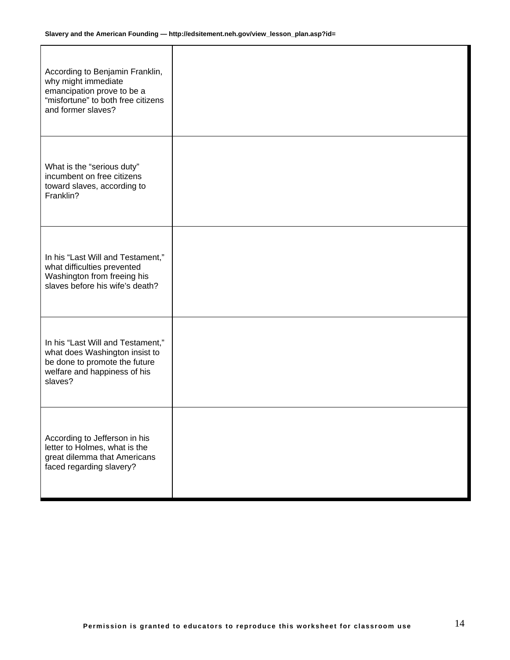| According to Benjamin Franklin,<br>why might immediate<br>emancipation prove to be a<br>"misfortune" to both free citizens<br>and former slaves? |  |
|--------------------------------------------------------------------------------------------------------------------------------------------------|--|
| What is the "serious duty"<br>incumbent on free citizens<br>toward slaves, according to<br>Franklin?                                             |  |
| In his "Last Will and Testament,"<br>what difficulties prevented<br>Washington from freeing his<br>slaves before his wife's death?               |  |
| In his "Last Will and Testament,"<br>what does Washington insist to<br>be done to promote the future<br>welfare and happiness of his<br>slaves?  |  |
| According to Jefferson in his<br>letter to Holmes, what is the<br>great dilemma that Americans<br>faced regarding slavery?                       |  |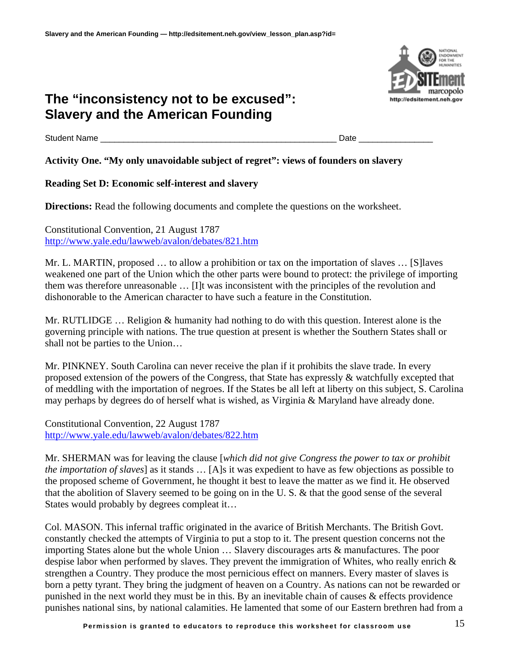Student Name \_\_\_\_\_\_\_\_\_\_\_\_\_\_\_\_\_\_\_\_\_\_\_\_\_\_\_\_\_\_\_\_\_\_\_\_\_\_\_\_\_\_\_\_\_\_\_\_\_\_\_ Date \_\_\_\_\_\_\_\_\_\_\_\_\_\_\_\_

### **Activity One. "My only unavoidable subject of regret": views of founders on slavery**

### **Reading Set D: Economic self-interest and slavery**

**Directions:** Read the following documents and complete the questions on the worksheet.

Constitutional Convention, 21 August 1787 <http://www.yale.edu/lawweb/avalon/debates/821.htm>

Mr. L. MARTIN, proposed … to allow a prohibition or tax on the importation of slaves … [S]laves weakened one part of the Union which the other parts were bound to protect: the privilege of importing them was therefore unreasonable … [I]t was inconsistent with the principles of the revolution and dishonorable to the American character to have such a feature in the Constitution.

Mr. RUTLIDGE … Religion & humanity had nothing to do with this question. Interest alone is the governing principle with nations. The true question at present is whether the Southern States shall or shall not be parties to the Union…

Mr. PINKNEY. South Carolina can never receive the plan if it prohibits the slave trade. In every proposed extension of the powers of the Congress, that State has expressly & watchfully excepted that of meddling with the importation of negroes. If the States be all left at liberty on this subject, S. Carolina may perhaps by degrees do of herself what is wished, as Virginia & Maryland have already done.

Constitutional Convention, 22 August 1787 <http://www.yale.edu/lawweb/avalon/debates/822.htm>

Mr. SHERMAN was for leaving the clause [*which did not give Congress the power to tax or prohibit the importation of slaves*] as it stands … [A]s it was expedient to have as few objections as possible to the proposed scheme of Government, he thought it best to leave the matter as we find it. He observed that the abolition of Slavery seemed to be going on in the U. S. & that the good sense of the several States would probably by degrees compleat it…

Col. MASON. This infernal traffic originated in the avarice of British Merchants. The British Govt. constantly checked the attempts of Virginia to put a stop to it. The present question concerns not the importing States alone but the whole Union … Slavery discourages arts & manufactures. The poor despise labor when performed by slaves. They prevent the immigration of Whites, who really enrich & strengthen a Country. They produce the most pernicious effect on manners. Every master of slaves is born a petty tyrant. They bring the judgment of heaven on a Country. As nations can not be rewarded or punished in the next world they must be in this. By an inevitable chain of causes & effects providence punishes national sins, by national calamities. He lamented that some of our Eastern brethren had from a

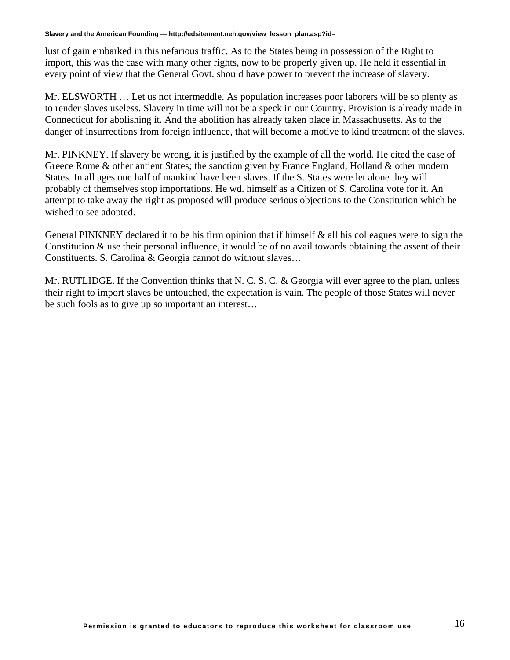lust of gain embarked in this nefarious traffic. As to the States being in possession of the Right to import, this was the case with many other rights, now to be properly given up. He held it essential in every point of view that the General Govt. should have power to prevent the increase of slavery.

Mr. ELSWORTH … Let us not intermeddle. As population increases poor laborers will be so plenty as to render slaves useless. Slavery in time will not be a speck in our Country. Provision is already made in Connecticut for abolishing it. And the abolition has already taken place in Massachusetts. As to the danger of insurrections from foreign influence, that will become a motive to kind treatment of the slaves.

Mr. PINKNEY. If slavery be wrong, it is justified by the example of all the world. He cited the case of Greece Rome & other antient States; the sanction given by France England, Holland & other modern States. In all ages one half of mankind have been slaves. If the S. States were let alone they will probably of themselves stop importations. He wd. himself as a Citizen of S. Carolina vote for it. An attempt to take away the right as proposed will produce serious objections to the Constitution which he wished to see adopted.

General PINKNEY declared it to be his firm opinion that if himself  $\&$  all his colleagues were to sign the Constitution & use their personal influence, it would be of no avail towards obtaining the assent of their Constituents. S. Carolina & Georgia cannot do without slaves…

Mr. RUTLIDGE. If the Convention thinks that N. C. S. C. & Georgia will ever agree to the plan, unless their right to import slaves be untouched, the expectation is vain. The people of those States will never be such fools as to give up so important an interest…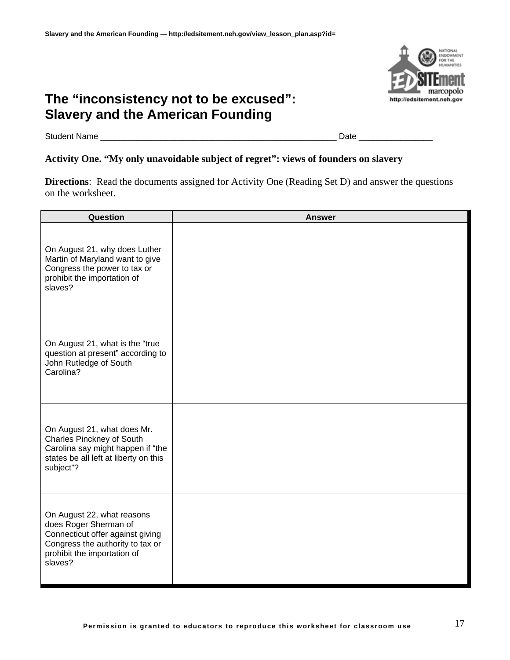

Student Name \_\_\_\_\_\_\_\_\_\_\_\_\_\_\_\_\_\_\_\_\_\_\_\_\_\_\_\_\_\_\_\_\_\_\_\_\_\_\_\_\_\_\_\_\_\_\_\_\_\_\_ Date \_\_\_\_\_\_\_\_\_\_\_\_\_\_\_\_

#### **Activity One. "My only unavoidable subject of regret": views of founders on slavery**

**Directions**: Read the documents assigned for Activity One (Reading Set D) and answer the questions on the worksheet.

| Question                                                                                                                                                              | <b>Answer</b> |
|-----------------------------------------------------------------------------------------------------------------------------------------------------------------------|---------------|
| On August 21, why does Luther<br>Martin of Maryland want to give<br>Congress the power to tax or<br>prohibit the importation of<br>slaves?                            |               |
| On August 21, what is the "true<br>question at present" according to<br>John Rutledge of South<br>Carolina?                                                           |               |
| On August 21, what does Mr.<br><b>Charles Pinckney of South</b><br>Carolina say might happen if "the<br>states be all left at liberty on this<br>subject"?            |               |
| On August 22, what reasons<br>does Roger Sherman of<br>Connecticut offer against giving<br>Congress the authority to tax or<br>prohibit the importation of<br>slaves? |               |